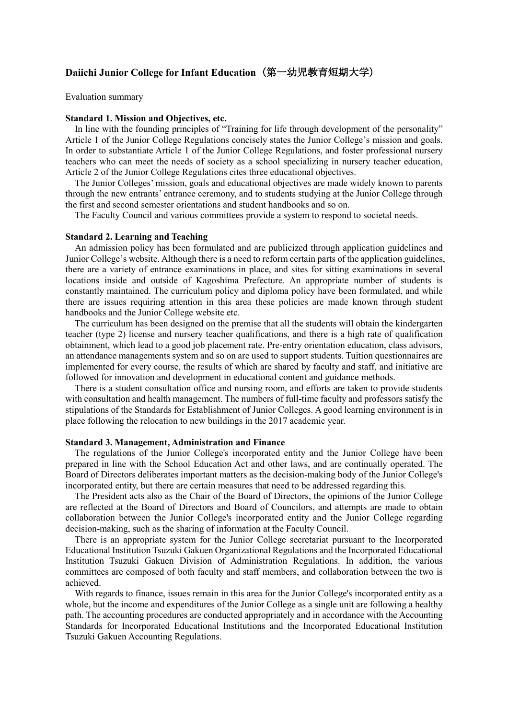# **Daiichi Junior College for Infant Education**(第一幼児教育短期大学)

Evaluation summary

# **Standard 1. Mission and Objectives, etc.**

In line with the founding principles of "Training for life through development of the personality" Article 1 of the Junior College Regulations concisely states the Junior College's mission and goals. In order to substantiate Article 1 of the Junior College Regulations, and foster professional nursery teachers who can meet the needs of society as a school specializing in nursery teacher education, Article 2 of the Junior College Regulations cites three educational objectives.

The Junior Colleges' mission, goals and educational objectives are made widely known to parents through the new entrants' entrance ceremony, and to students studying at the Junior College through the first and second semester orientations and student handbooks and so on.

The Faculty Council and various committees provide a system to respond to societal needs.

## **Standard 2. Learning and Teaching**

An admission policy has been formulated and are publicized through application guidelines and Junior College's website. Although there is a need to reform certain parts of the application guidelines, there are a variety of entrance examinations in place, and sites for sitting examinations in several locations inside and outside of Kagoshima Prefecture. An appropriate number of students is constantly maintained. The curriculum policy and diploma policy have been formulated, and while there are issues requiring attention in this area these policies are made known through student handbooks and the Junior College website etc.

The curriculum has been designed on the premise that all the students will obtain the kindergarten teacher (type 2) license and nursery teacher qualifications, and there is a high rate of qualification obtainment, which lead to a good job placement rate. Pre-entry orientation education, class advisors, an attendance managements system and so on are used to support students. Tuition questionnaires are implemented for every course, the results of which are shared by faculty and staff, and initiative are followed for innovation and development in educational content and guidance methods.

There is a student consultation office and nursing room, and efforts are taken to provide students with consultation and health management. The numbers of full-time faculty and professors satisfy the stipulations of the Standards for Establishment of Junior Colleges. A good learning environment is in place following the relocation to new buildings in the 2017 academic year.

### **Standard 3. Management, Administration and Finance**

The regulations of the Junior College's incorporated entity and the Junior College have been prepared in line with the School Education Act and other laws, and are continually operated. The Board of Directors deliberates important matters as the decision-making body of the Junior College's incorporated entity, but there are certain measures that need to be addressed regarding this.

The President acts also as the Chair of the Board of Directors, the opinions of the Junior College are reflected at the Board of Directors and Board of Councilors, and attempts are made to obtain collaboration between the Junior College's incorporated entity and the Junior College regarding decision-making, such as the sharing of information at the Faculty Council.

There is an appropriate system for the Junior College secretariat pursuant to the Incorporated Educational Institution Tsuzuki Gakuen Organizational Regulations and the Incorporated Educational Institution Tsuzuki Gakuen Division of Administration Regulations. In addition, the various committees are composed of both faculty and staff members, and collaboration between the two is achieved.

With regards to finance, issues remain in this area for the Junior College's incorporated entity as a whole, but the income and expenditures of the Junior College as a single unit are following a healthy path. The accounting procedures are conducted appropriately and in accordance with the Accounting Standards for Incorporated Educational Institutions and the Incorporated Educational Institution Tsuzuki Gakuen Accounting Regulations.